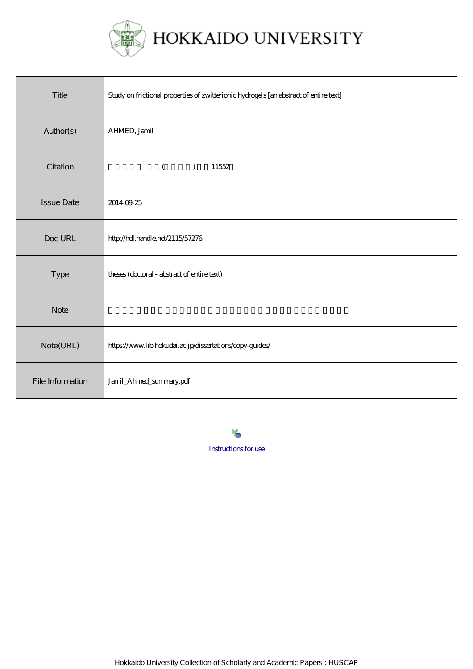

| Title             | Study on frictional properties of zwitterionic hydrogels [an abstract of entire text] |
|-------------------|---------------------------------------------------------------------------------------|
| Author(s)         | AHMED, Jamil                                                                          |
| Citation          | $\mathcal{L}$ (<br>$\mathcal{L}$<br>11552                                             |
| <b>Issue Date</b> | 20140925                                                                              |
| Doc URL           | http://hdl.handle.net/2115/57276                                                      |
| Type              | theses (doctoral - abstract of entire text)                                           |
| <b>Note</b>       |                                                                                       |
| Note(URL)         | https://www.lib.hokudai.ac.jp/dissertations/copy-guides/                              |
| File Information  | Jamil_Ahmed_summary.pdf                                                               |